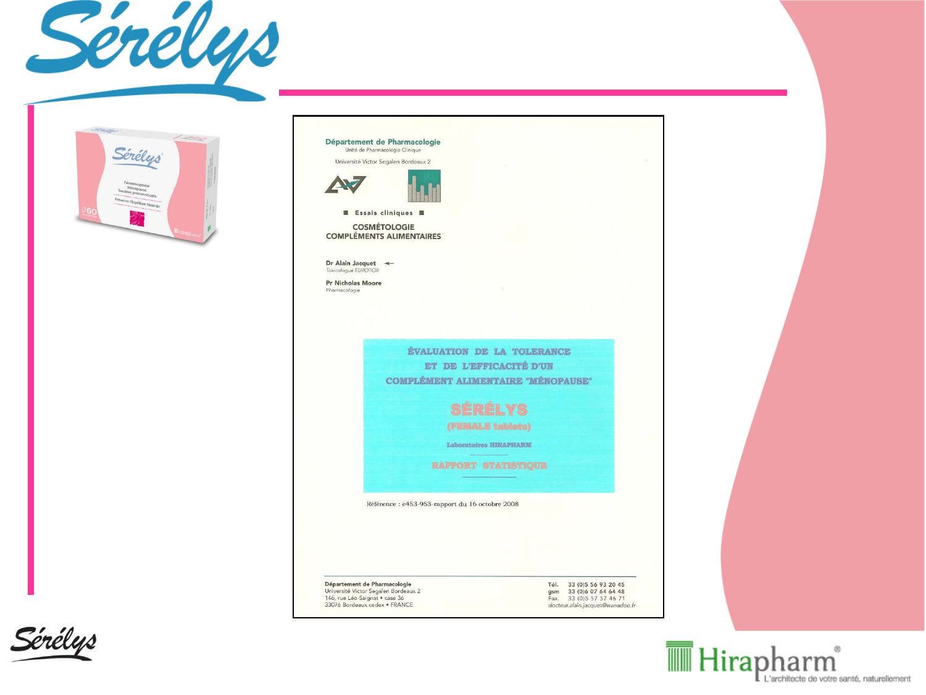



Département de Pharmacologie Unité de Pharmacologie Clinique Université Victor Segalen Bordeaux 2 **Essais cliniques B COSMÉTOLOGIE COMPLÉMENTS ALIMENTAIRES** Dr Alain Jacquet < Toxicologue EUROTOX Pr Nicholas Moore Pharmacologie ÉVALUATION DE LA TOLERANCE ET DE L'EFFICACITÉ D'UN **COMPLÉMENT ALIMENTAIRE "MÉNOPAUSE" SÉRÉLYS** (FEMALE tablets) Laboratoires HIRAPHARM **RAPPORT STATISTIQUE** Référence : e453-953-rapport du 16 octobre 2008 Département de Pharmacologie Tél. 33 (0) 5 56 93 20 45 gsm 33 (0) 6 07 64 64 48<br>Fax. 33 (0) 5 57 57 46 71 Université Victor Segalen Bordeaux 2 146, rue Léo-Saignat · case 36 33076 Bordeaux cedex · FRANCE docteur.alain.jacquet@wanadoo.fr



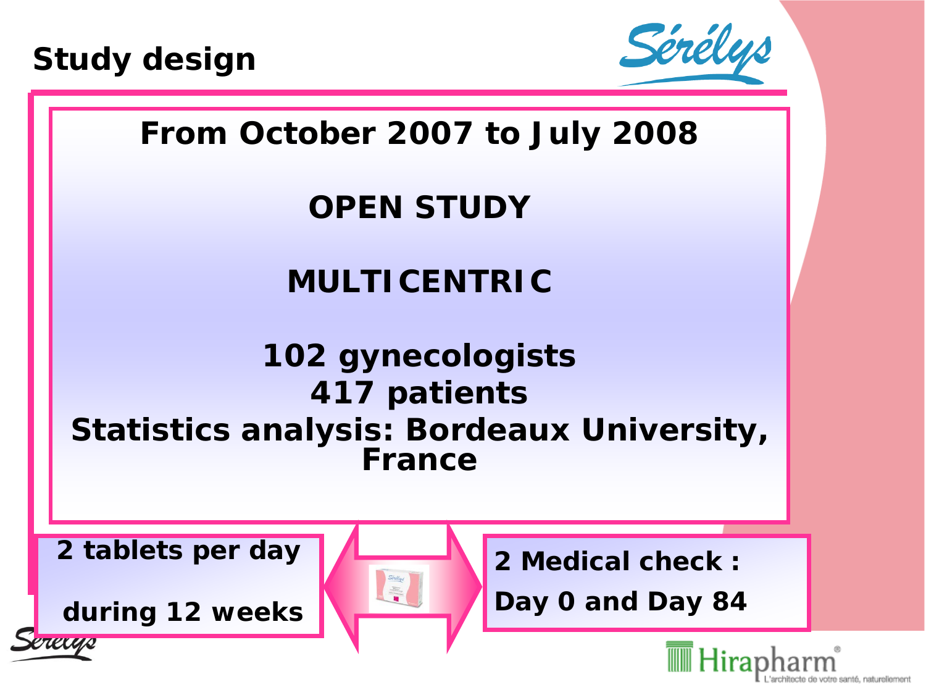



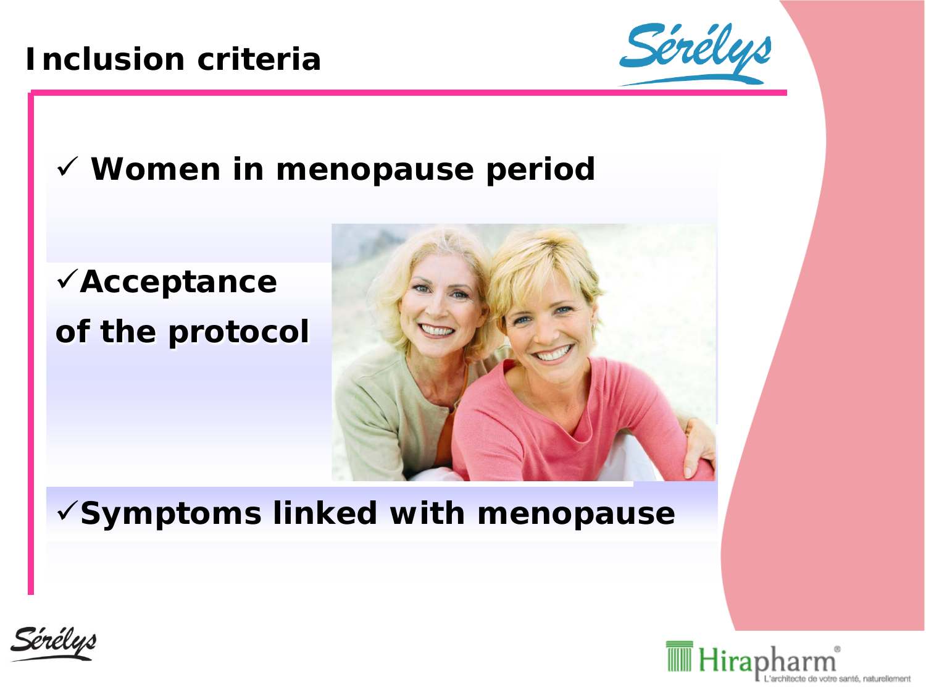#### **Inclusion criteria**



### **Women in menopause period**





#### **Symptoms linked with menopause**



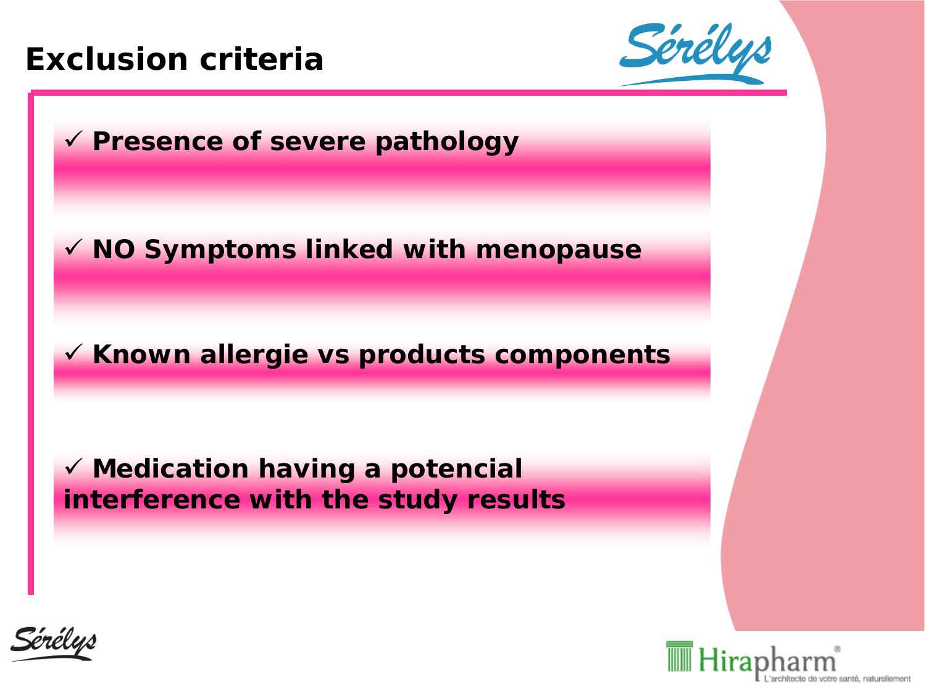#### **Exclusion criteria**







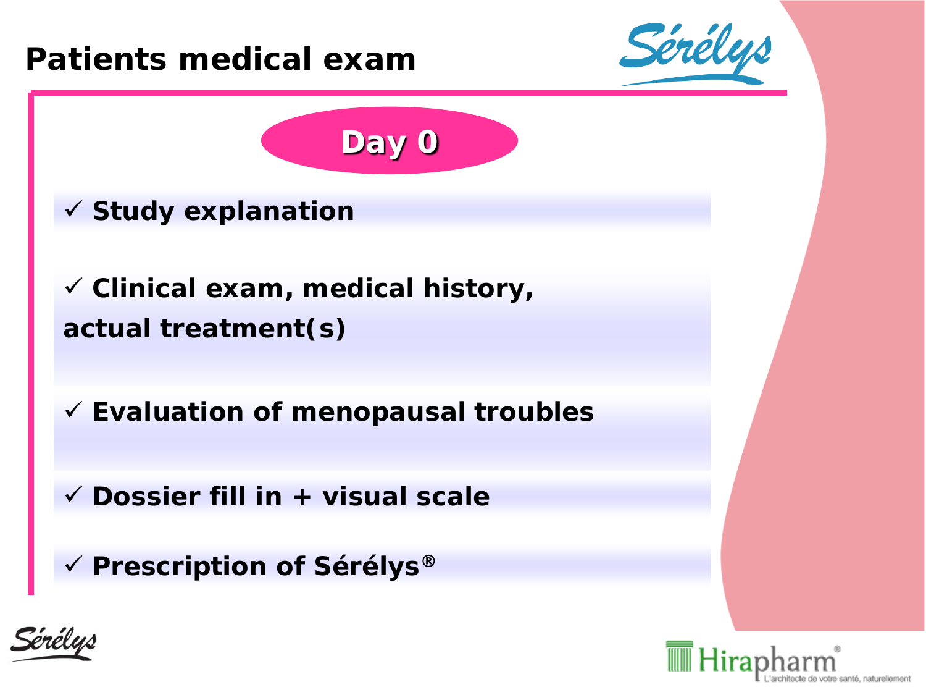

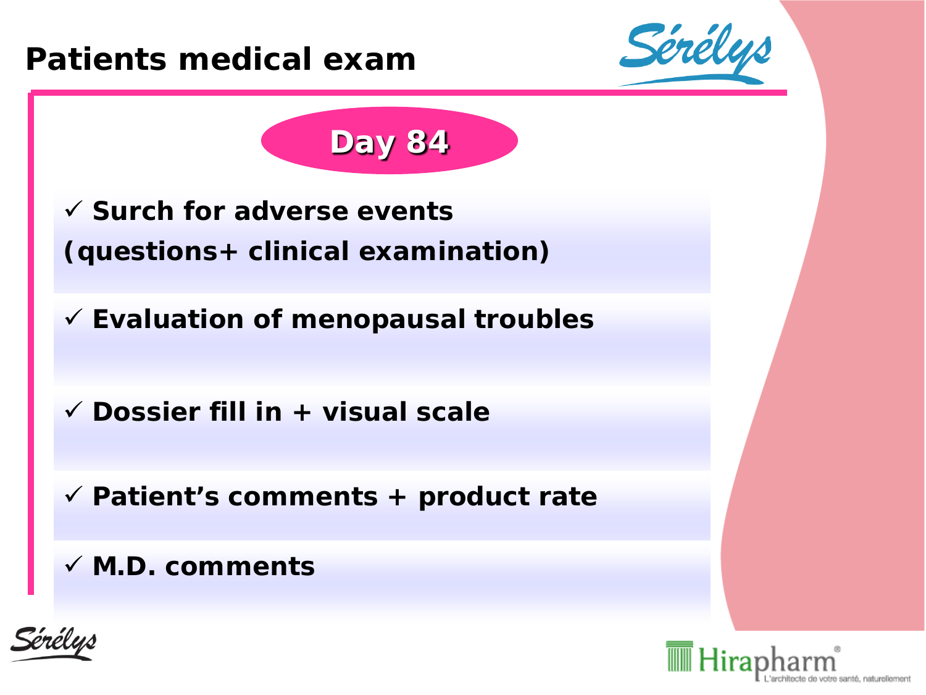



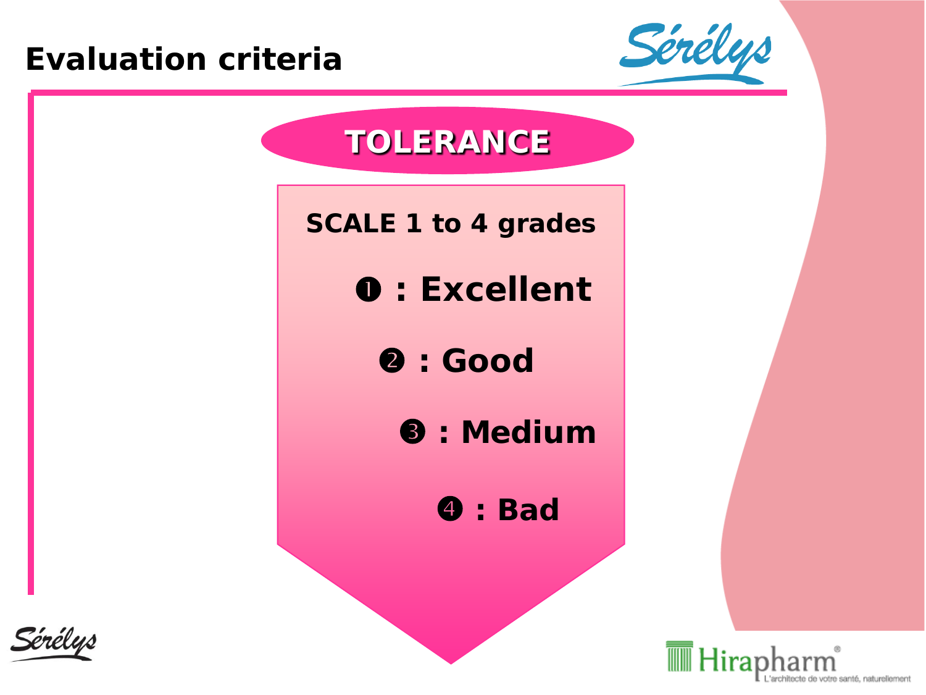#### **Evaluation criteria**







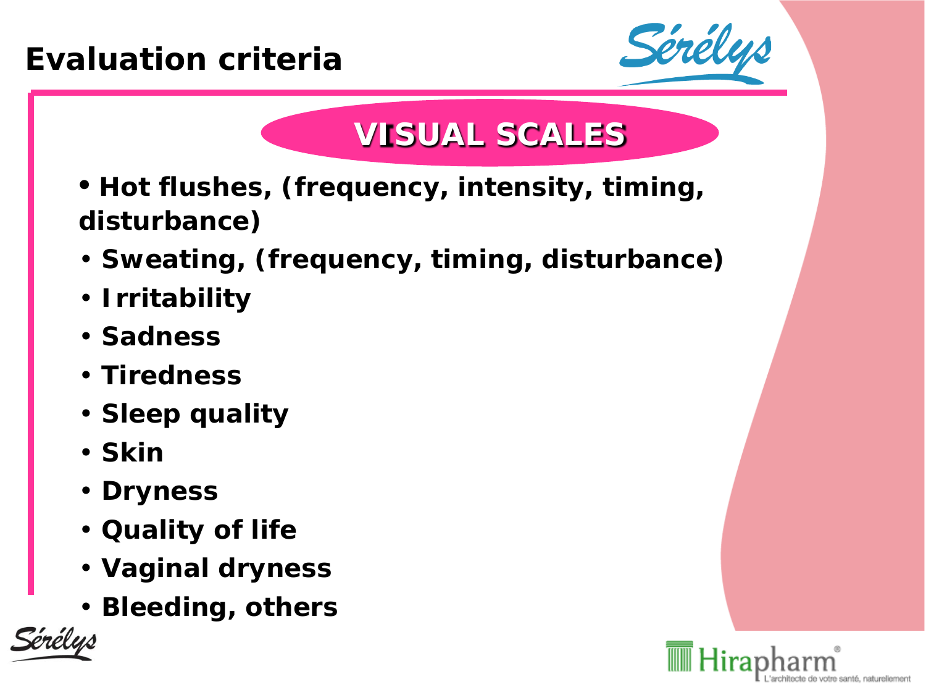### **Evaluation criteria**



# **VISUAL SCALES**

- **Hot flushes, (frequency, intensity, timing, disturbance)**
- **Sweating, (frequency, timing, disturbance)**
- **Irritability**
- **Sadness**
- **Tiredness**
- **Sleep quality**
- **Skin**
- **Dryness**
- **Quality of life**
- **Vaginal dryness**
- **Bleeding, others**



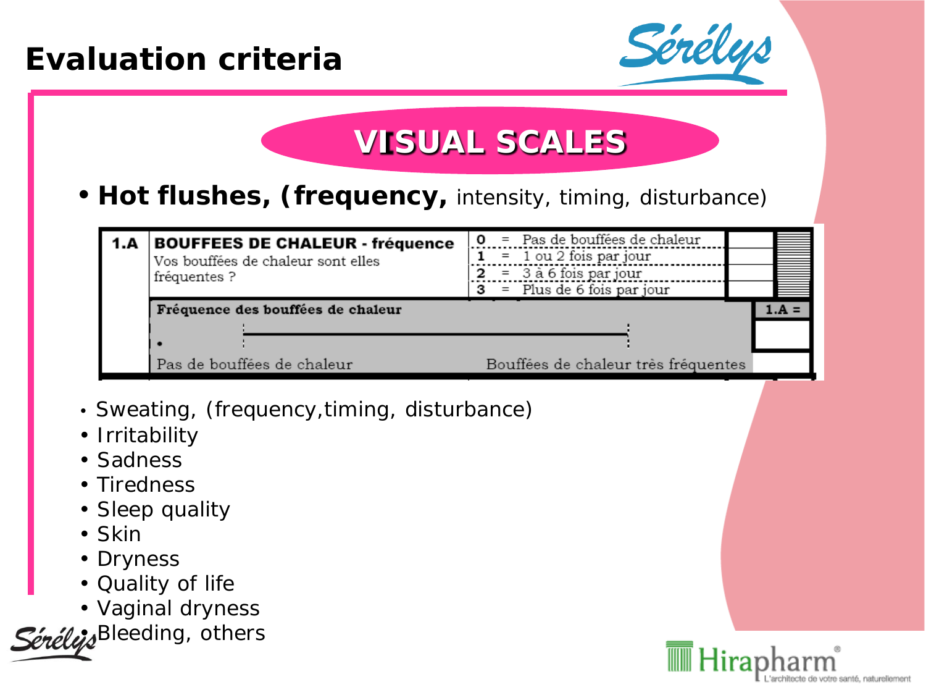#### **Evaluation criteria**



# **VISUAL SCALES**

• **Hot flushes, (frequency,** *intensity, timing, disturbance)*

|  | 1.A BOUFFEES DE CHALEUR - fréquence<br>Vos bouffées de chaleur sont elles<br>fréquentes ? | = Pas de bouffées de chaleur        |  |
|--|-------------------------------------------------------------------------------------------|-------------------------------------|--|
|  |                                                                                           | $= 1$ ou 2 fois par jour            |  |
|  |                                                                                           | $=$ 3 à 6 fois par jour<br>2        |  |
|  |                                                                                           | $3 =$ Plus de 6 fois par jour       |  |
|  | Fréquence des bouffées de chaleur                                                         |                                     |  |
|  |                                                                                           |                                     |  |
|  |                                                                                           |                                     |  |
|  | Pas de bouffées de chaleur                                                                | Bouffées de chaleur très fréquentes |  |

- *Sweating, (frequency,timing, disturbance)*
- *Irritability*
- *Sadness*
- *Tiredness*
- *Sleep quality*
- *Skin*
- *Dryness*
- *Quality of life*
- *Vaginal dryness*

Sérélejs<sup>Bleeding, others</sub></sup>

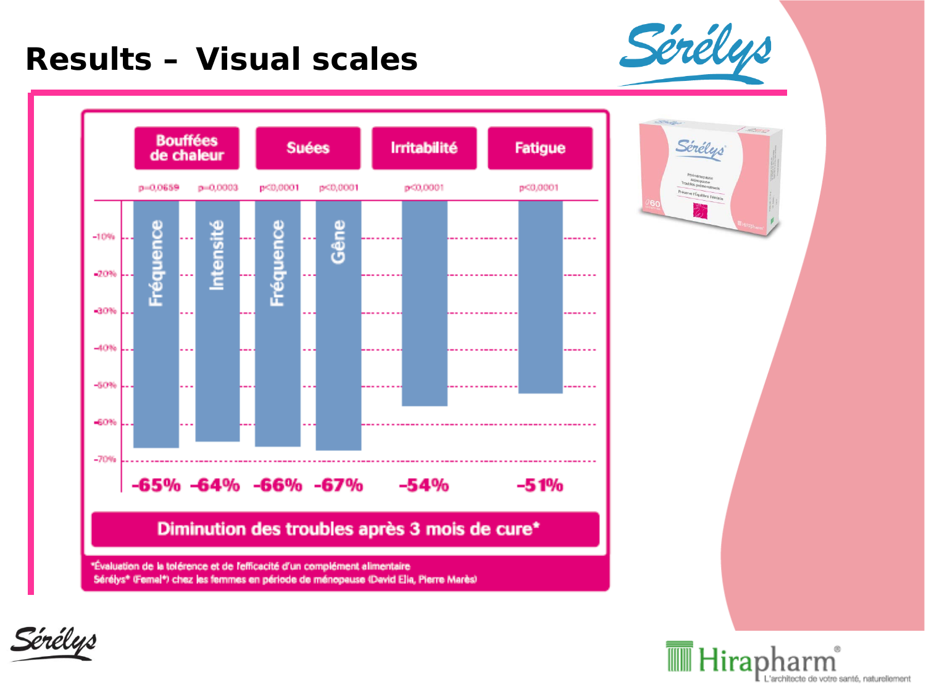#### **Results - Visual scales**



Sérélys





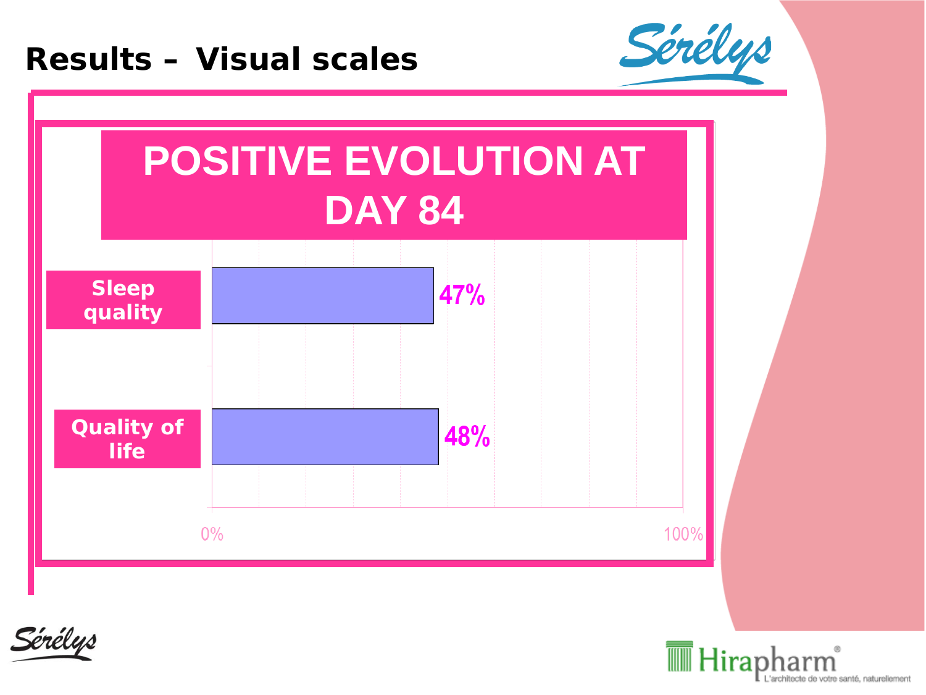#### **Results – Visual scales**







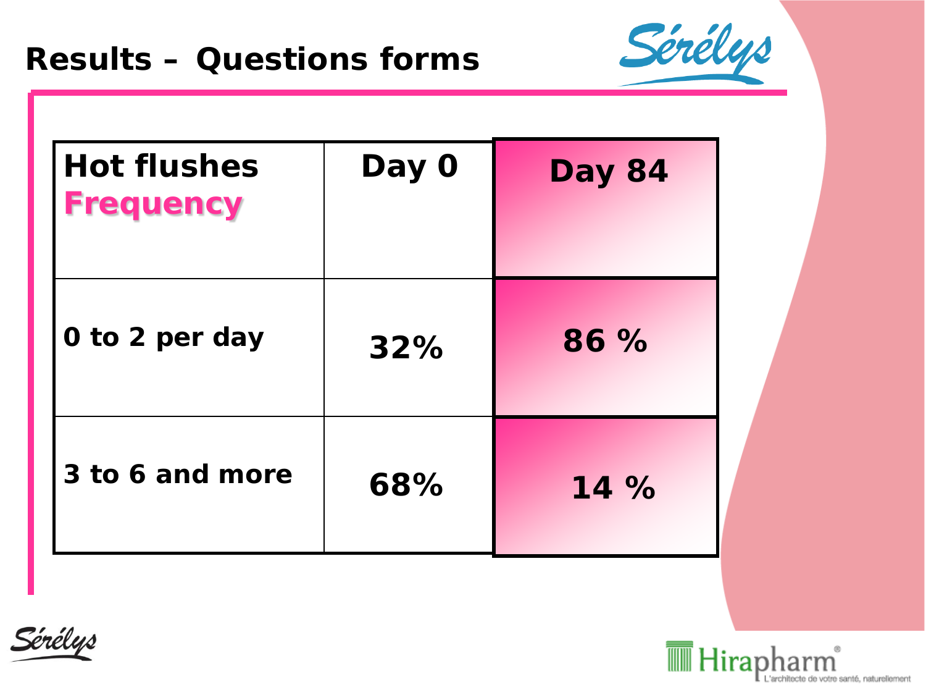

| <b>Hot flushes</b><br><b>Frequency</b> | Day 0 | <b>Day 84</b> |
|----------------------------------------|-------|---------------|
| 0 to 2 per day                         | 32%   | 86 %          |
| 3 to 6 and more                        | 68%   | 14 %          |



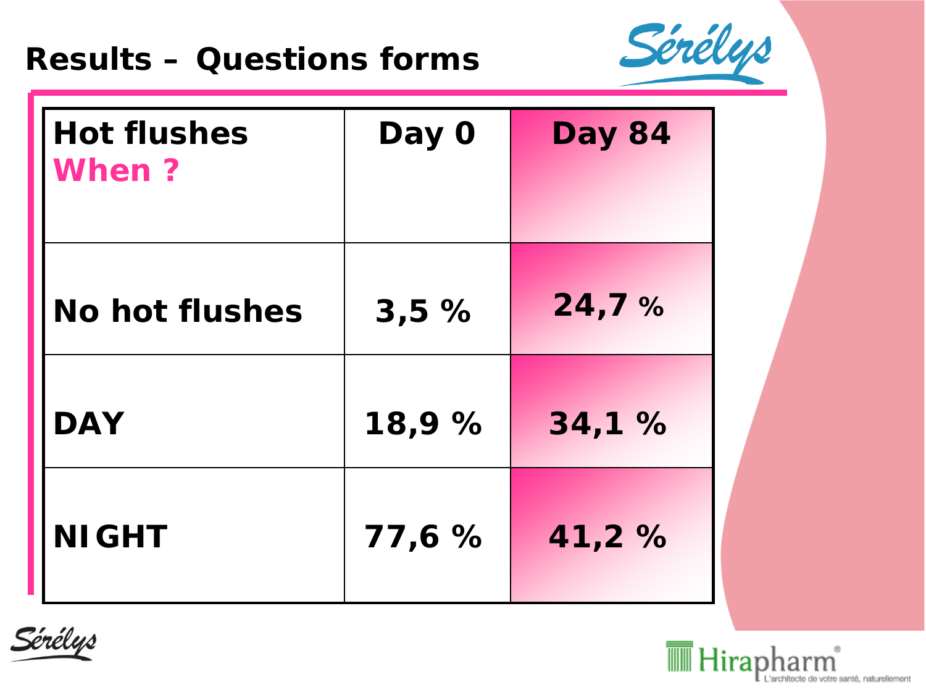#### **Results – Questions forms**



| <b>Hot flushes</b><br><b>When?</b> | Day 0  | <b>Day 84</b> |
|------------------------------------|--------|---------------|
| <b>No hot flushes</b>              | 3,5%   | 24,7%         |
| <b>DAY</b>                         | 18,9 % | 34,1 %        |
| <b>NIGHT</b>                       | 77,6%  | 41,2 %        |



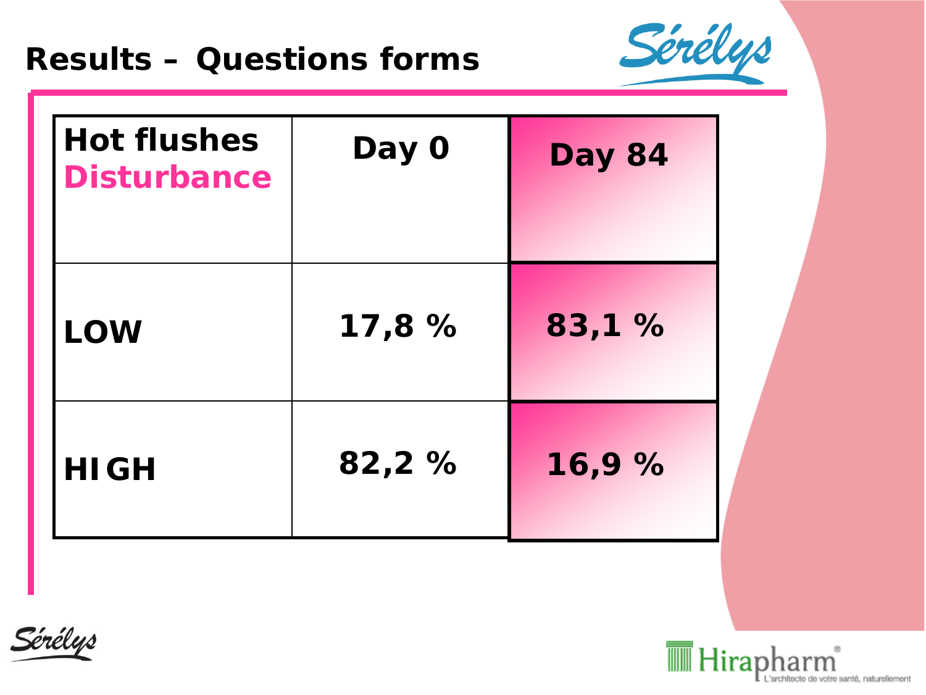#### **Results – Questions forms**



| <b>Hot flushes</b><br><b>Disturbance</b> | Day 0 | <b>Day 84</b> |
|------------------------------------------|-------|---------------|
| <b>LOW</b>                               | 17,8% | 83,1 %        |
| <b>HIGH</b>                              | 82,2% | 16,9%         |



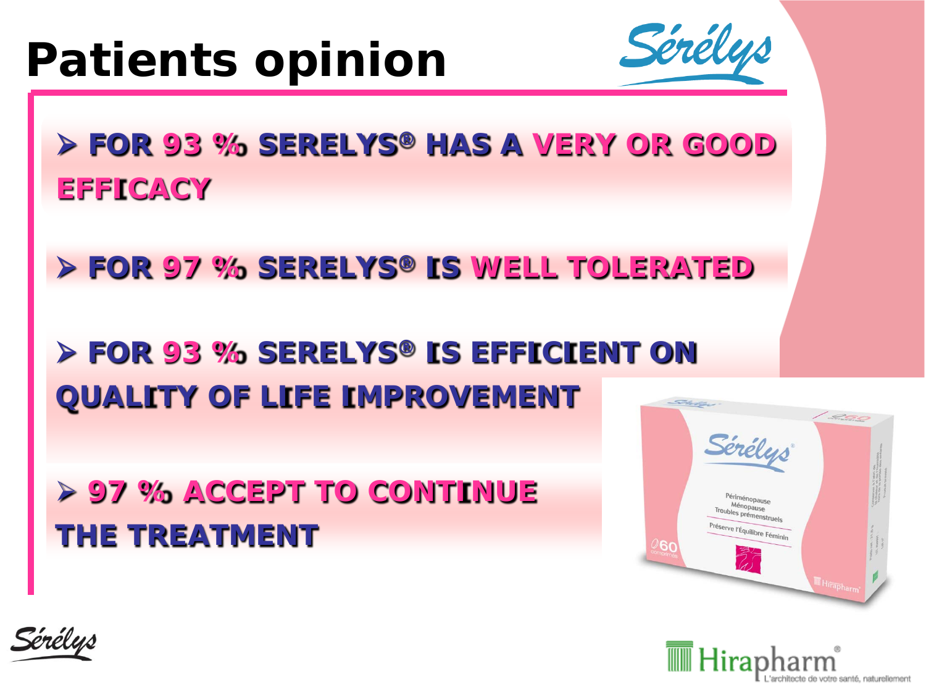# **Patients opinion**



 **FOR 93 % SERELYS® HAS A VERY OR GOOD EFFICACY**

**FOR 97 % SERELYS® IS WELL TOLERATED**

 **FOR 93 % SERELYS® IS EFFICIENT ON QUALITY OF LIFE IMPROVEMENT**

 **97 % ACCEPT TO CONTINUE THE TREATMENT**





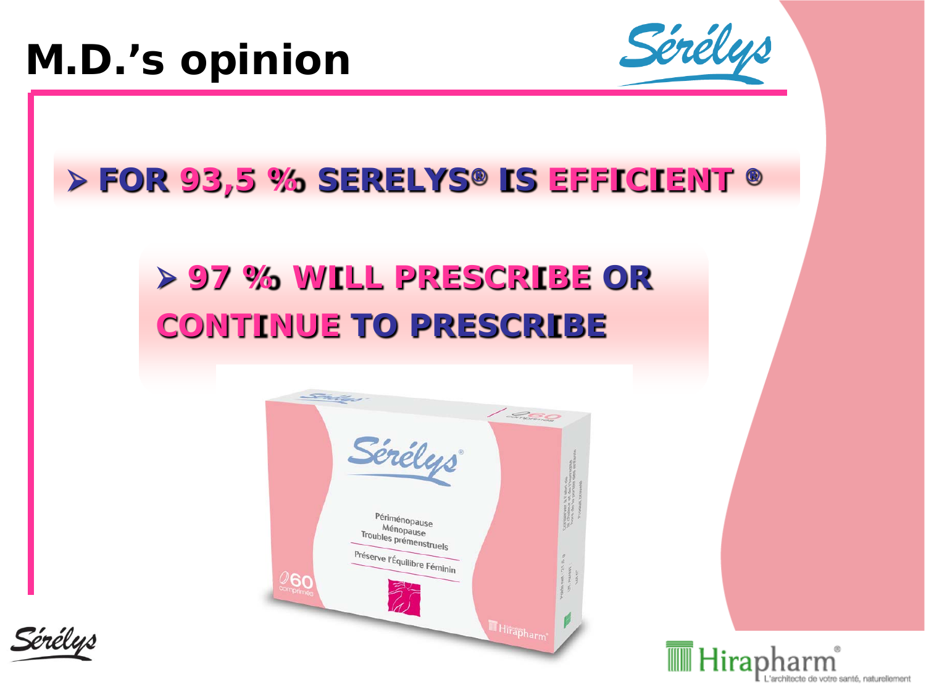

# **FOR 93,5 % SERELYS® IS EFFICIENT ®**

# **97 % WILL PRESCRIBE OR CONTINUE TO PRESCRIBE**





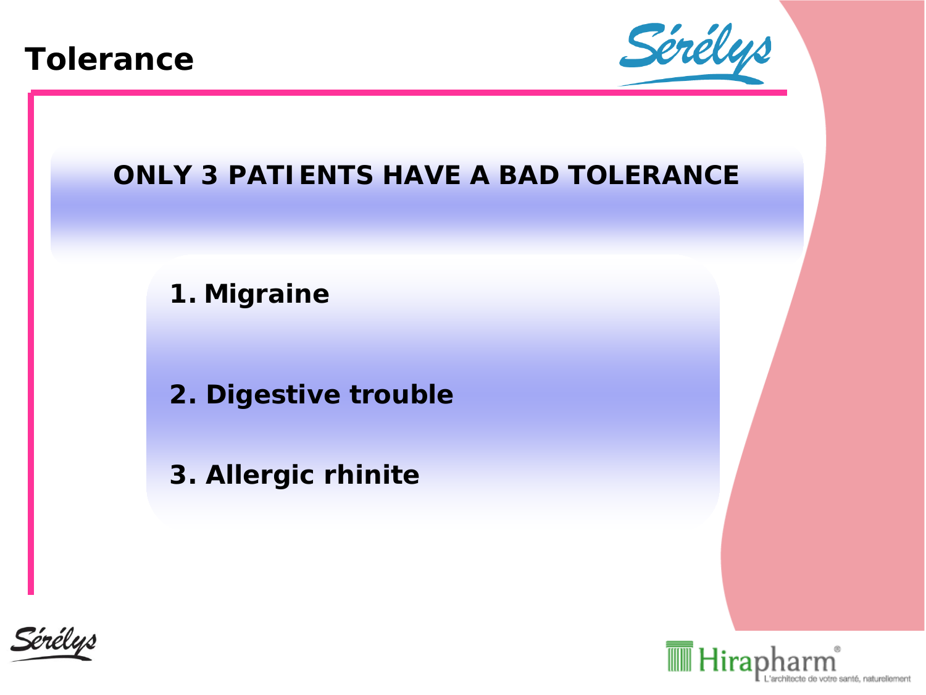



#### *ONLY 3 PATIENTS HAVE A BAD TOLERANCE*

**1. Migraine**

**2. Digestive trouble**

**3. Allergic rhinite**